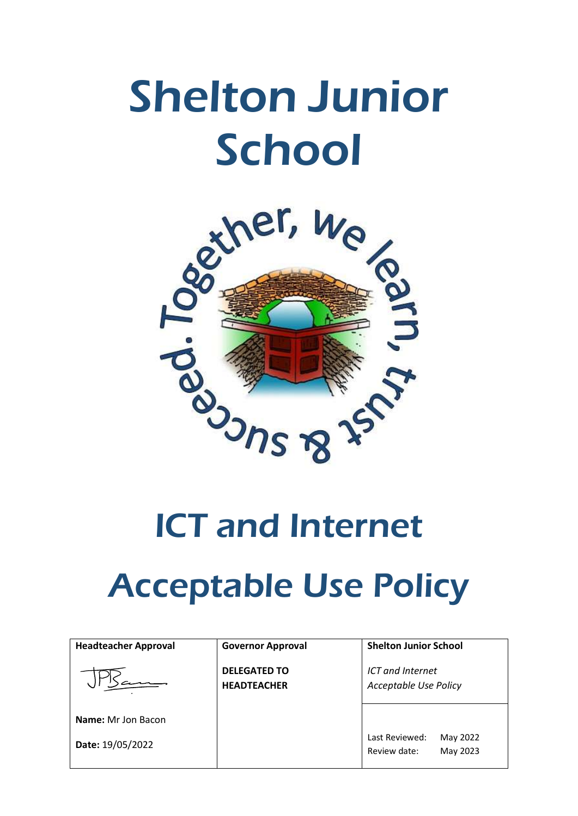# Shelton Junior **School**



## ICT and Internet

## Acceptable Use Policy

| <b>Headteacher Approval</b> | <b>Governor Approval</b>                  | <b>Shelton Junior School</b>                           |
|-----------------------------|-------------------------------------------|--------------------------------------------------------|
|                             | <b>DELEGATED TO</b><br><b>HEADTEACHER</b> | <b>ICT</b> and Internet<br>Acceptable Use Policy       |
| <b>Name:</b> Mr Jon Bacon   |                                           |                                                        |
| Date: 19/05/2022            |                                           | Last Reviewed:<br>May 2022<br>Review date:<br>May 2023 |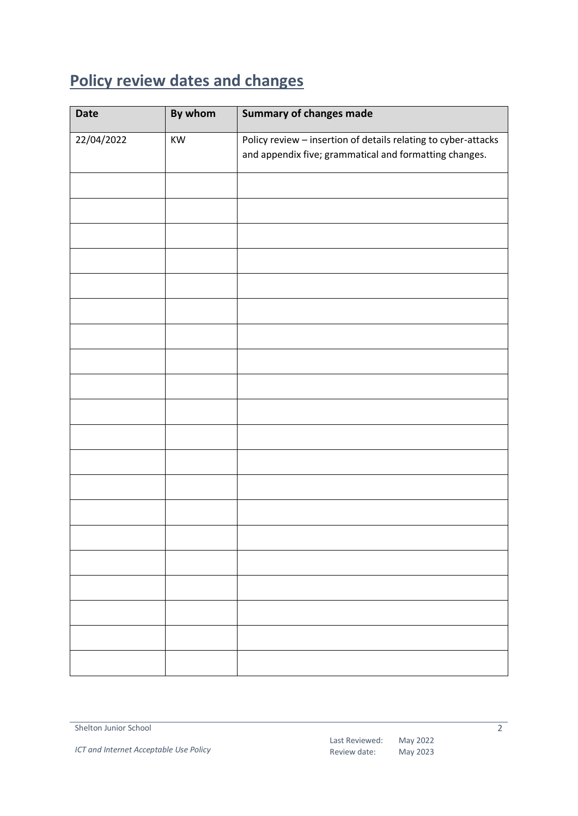## <span id="page-1-0"></span>**Policy review dates and changes**

| <b>Date</b> | By whom | <b>Summary of changes made</b>                                                                                           |
|-------------|---------|--------------------------------------------------------------------------------------------------------------------------|
| 22/04/2022  | KW      | Policy review - insertion of details relating to cyber-attacks<br>and appendix five; grammatical and formatting changes. |
|             |         |                                                                                                                          |
|             |         |                                                                                                                          |
|             |         |                                                                                                                          |
|             |         |                                                                                                                          |
|             |         |                                                                                                                          |
|             |         |                                                                                                                          |
|             |         |                                                                                                                          |
|             |         |                                                                                                                          |
|             |         |                                                                                                                          |
|             |         |                                                                                                                          |
|             |         |                                                                                                                          |
|             |         |                                                                                                                          |
|             |         |                                                                                                                          |
|             |         |                                                                                                                          |
|             |         |                                                                                                                          |
|             |         |                                                                                                                          |
|             |         |                                                                                                                          |
|             |         |                                                                                                                          |
|             |         |                                                                                                                          |
|             |         |                                                                                                                          |

 $\overline{2}$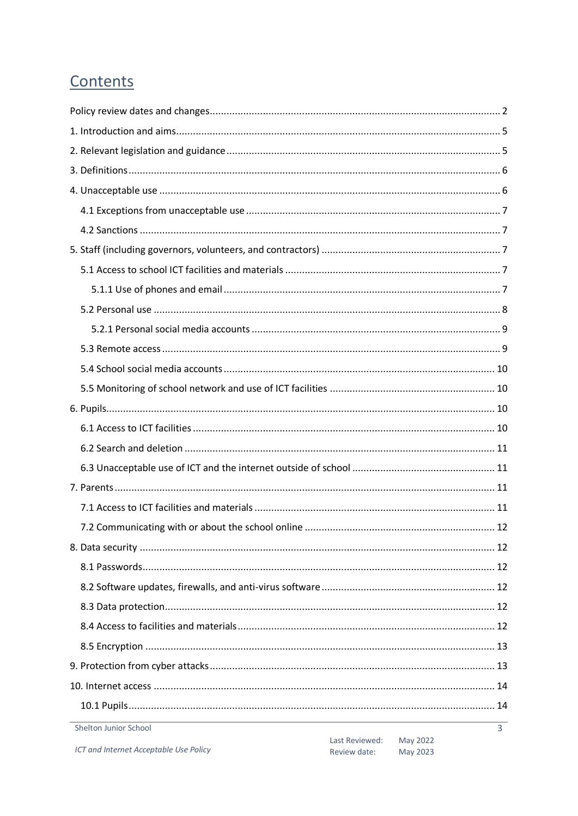## Contents

| Shelton Junior School | 3 |
|-----------------------|---|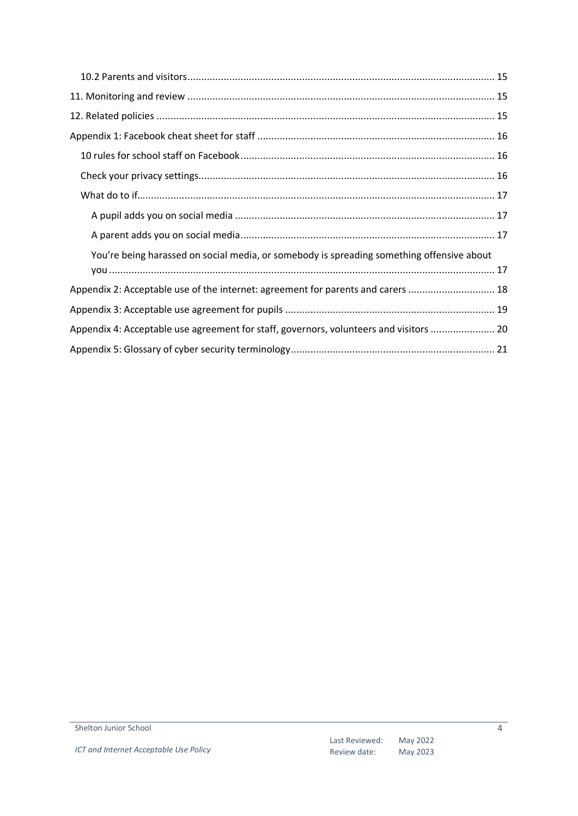| You're being harassed on social media, or somebody is spreading something offensive about |
|-------------------------------------------------------------------------------------------|
|                                                                                           |
| Appendix 2: Acceptable use of the internet: agreement for parents and carers  18          |
|                                                                                           |
| Appendix 4: Acceptable use agreement for staff, governors, volunteers and visitors  20    |
|                                                                                           |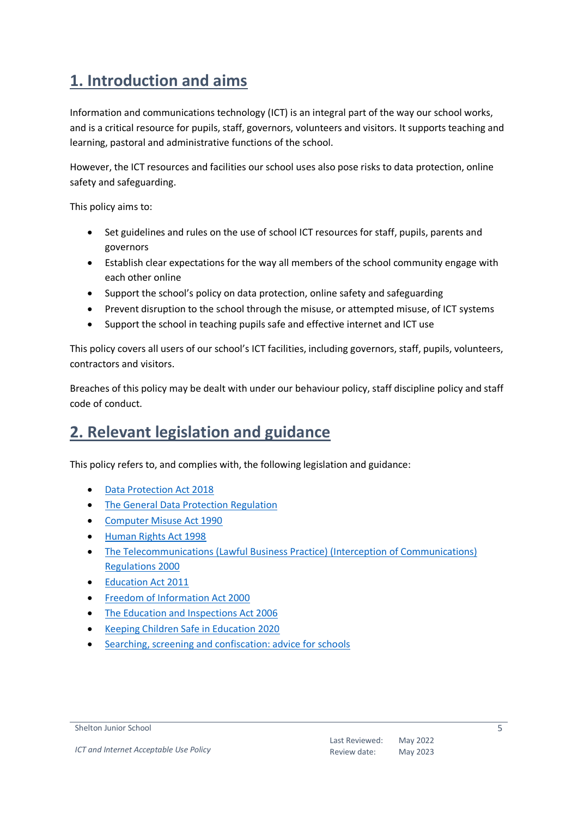## <span id="page-4-0"></span>**1. Introduction and aims**

Information and communications technology (ICT) is an integral part of the way our school works, and is a critical resource for pupils, staff, governors, volunteers and visitors. It supports teaching and learning, pastoral and administrative functions of the school.

However, the ICT resources and facilities our school uses also pose risks to data protection, online safety and safeguarding.

This policy aims to:

- Set guidelines and rules on the use of school ICT resources for staff, pupils, parents and governors
- Establish clear expectations for the way all members of the school community engage with each other online
- Support the school's policy on data protection, online safety and safeguarding
- Prevent disruption to the school through the misuse, or attempted misuse, of ICT systems
- Support the school in teaching pupils safe and effective internet and ICT use

This policy covers all users of our school's ICT facilities, including governors, staff, pupils, volunteers, contractors and visitors.

Breaches of this policy may be dealt with under our behaviour policy, staff discipline policy and staff code of conduct.

## <span id="page-4-1"></span>**2. Relevant legislation and guidance**

This policy refers to, and complies with, the following legislation and guidance:

- [Data Protection Act 2018](http://www.legislation.gov.uk/ukpga/2018/12/contents/enacted)
- [The General Data Protection Regulation](https://eur-lex.europa.eu/legal-content/EN/TXT/HTML/?uri=CELEX:32016R0679)
- [Computer Misuse Act 1990](https://www.legislation.gov.uk/ukpga/1990/18/contents)
- [Human Rights Act 1998](https://www.legislation.gov.uk/ukpga/1998/42/contents)
- [The Telecommunications \(Lawful Business Practice\) \(Interception of Communications\)](https://www.legislation.gov.uk/uksi/2000/2699/regulation/3/made)  [Regulations 2000](https://www.legislation.gov.uk/uksi/2000/2699/regulation/3/made)
- [Education Act 2011](http://www.legislation.gov.uk/ukpga/2011/21/section/2/enacted)
- [Freedom of Information Act 2000](https://www.legislation.gov.uk/ukpga/2000/36/contents)
- [The Education and Inspections Act 2006](https://www.legislation.gov.uk/ukpga/2006/40/part/7/chapter/1)
- [Keeping Children Safe in Education 2020](https://www.gov.uk/government/publications/keeping-children-safe-in-education--2)
- [Searching, screening and confiscation: advice for schools](https://www.gov.uk/government/publications/searching-screening-and-confiscation)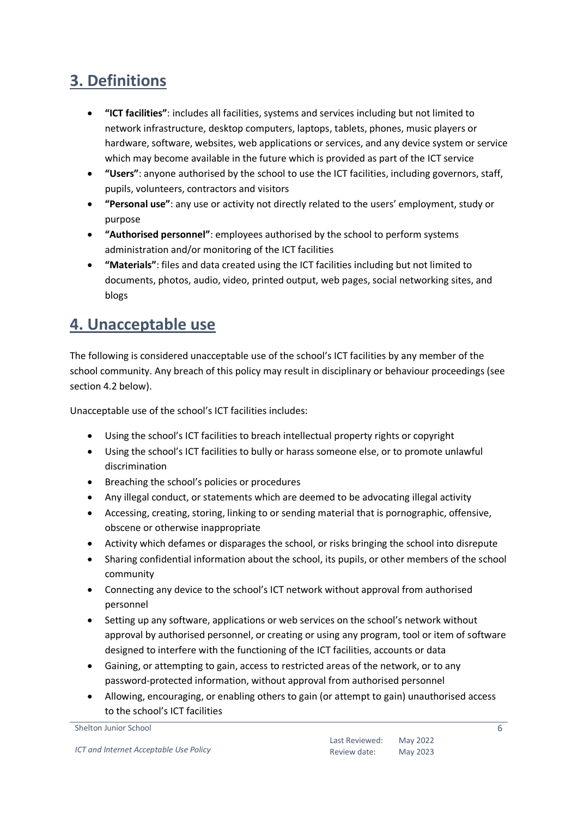## <span id="page-5-0"></span>**3. Definitions**

- **"ICT facilities"**: includes all facilities, systems and services including but not limited to network infrastructure, desktop computers, laptops, tablets, phones, music players or hardware, software, websites, web applications or services, and any device system or service which may become available in the future which is provided as part of the ICT service
- **"Users"**: anyone authorised by the school to use the ICT facilities, including governors, staff, pupils, volunteers, contractors and visitors
- **"Personal use"**: any use or activity not directly related to the users' employment, study or purpose
- **"Authorised personnel"**: employees authorised by the school to perform systems administration and/or monitoring of the ICT facilities
- **"Materials"**: files and data created using the ICT facilities including but not limited to documents, photos, audio, video, printed output, web pages, social networking sites, and blogs

## <span id="page-5-1"></span>**4. Unacceptable use**

The following is considered unacceptable use of the school's ICT facilities by any member of the school community. Any breach of this policy may result in disciplinary or behaviour proceedings (see section 4.2 below).

Unacceptable use of the school's ICT facilities includes:

- Using the school's ICT facilities to breach intellectual property rights or copyright
- Using the school's ICT facilities to bully or harass someone else, or to promote unlawful discrimination
- Breaching the school's policies or procedures
- Any illegal conduct, or statements which are deemed to be advocating illegal activity
- Accessing, creating, storing, linking to or sending material that is pornographic, offensive, obscene or otherwise inappropriate
- Activity which defames or disparages the school, or risks bringing the school into disrepute
- Sharing confidential information about the school, its pupils, or other members of the school community
- Connecting any device to the school's ICT network without approval from authorised personnel
- Setting up any software, applications or web services on the school's network without approval by authorised personnel, or creating or using any program, tool or item of software designed to interfere with the functioning of the ICT facilities, accounts or data
- Gaining, or attempting to gain, access to restricted areas of the network, or to any password-protected information, without approval from authorised personnel
- Allowing, encouraging, or enabling others to gain (or attempt to gain) unauthorised access to the school's ICT facilities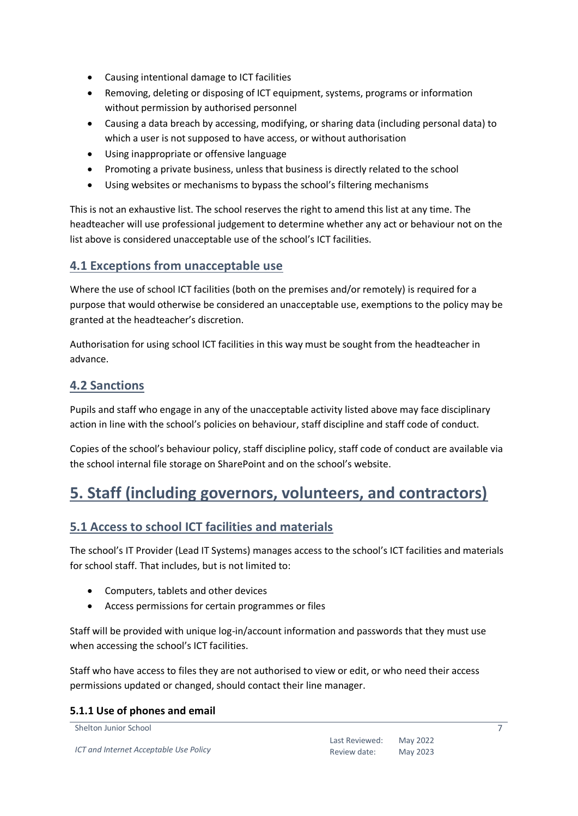- Causing intentional damage to ICT facilities
- Removing, deleting or disposing of ICT equipment, systems, programs or information without permission by authorised personnel
- Causing a data breach by accessing, modifying, or sharing data (including personal data) to which a user is not supposed to have access, or without authorisation
- Using inappropriate or offensive language
- Promoting a private business, unless that business is directly related to the school
- Using websites or mechanisms to bypass the school's filtering mechanisms

This is not an exhaustive list. The school reserves the right to amend this list at any time. The headteacher will use professional judgement to determine whether any act or behaviour not on the list above is considered unacceptable use of the school's ICT facilities.

#### <span id="page-6-0"></span>**4.1 Exceptions from unacceptable use**

Where the use of school ICT facilities (both on the premises and/or remotely) is required for a purpose that would otherwise be considered an unacceptable use, exemptions to the policy may be granted at the headteacher's discretion.

Authorisation for using school ICT facilities in this way must be sought from the headteacher in advance.

#### <span id="page-6-1"></span>**4.2 Sanctions**

Pupils and staff who engage in any of the unacceptable activity listed above may face disciplinary action in line with the school's policies on behaviour, staff discipline and staff code of conduct.

Copies of the school's behaviour policy, staff discipline policy, staff code of conduct are available via the school internal file storage on SharePoint and on the school's website.

## <span id="page-6-2"></span>**5. Staff (including governors, volunteers, and contractors)**

#### <span id="page-6-3"></span>**5.1 Access to school ICT facilities and materials**

The school's IT Provider (Lead IT Systems) manages access to the school's ICT facilities and materials for school staff. That includes, but is not limited to:

- Computers, tablets and other devices
- Access permissions for certain programmes or files

Staff will be provided with unique log-in/account information and passwords that they must use when accessing the school's ICT facilities.

Staff who have access to files they are not authorised to view or edit, or who need their access permissions updated or changed, should contact their line manager.

#### <span id="page-6-4"></span>**5.1.1 Use of phones and email**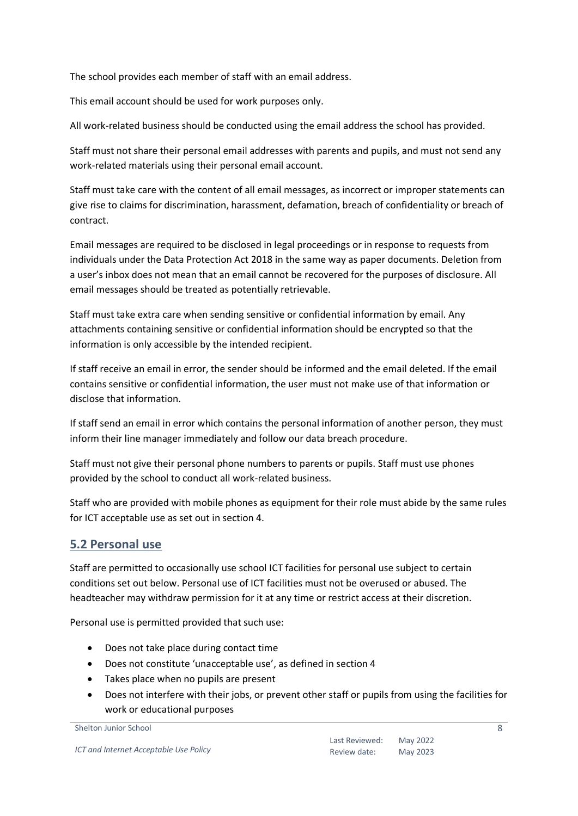The school provides each member of staff with an email address.

This email account should be used for work purposes only.

All work-related business should be conducted using the email address the school has provided.

Staff must not share their personal email addresses with parents and pupils, and must not send any work-related materials using their personal email account.

Staff must take care with the content of all email messages, as incorrect or improper statements can give rise to claims for discrimination, harassment, defamation, breach of confidentiality or breach of contract.

Email messages are required to be disclosed in legal proceedings or in response to requests from individuals under the Data Protection Act 2018 in the same way as paper documents. Deletion from a user's inbox does not mean that an email cannot be recovered for the purposes of disclosure. All email messages should be treated as potentially retrievable.

Staff must take extra care when sending sensitive or confidential information by email. Any attachments containing sensitive or confidential information should be encrypted so that the information is only accessible by the intended recipient.

If staff receive an email in error, the sender should be informed and the email deleted. If the email contains sensitive or confidential information, the user must not make use of that information or disclose that information.

If staff send an email in error which contains the personal information of another person, they must inform their line manager immediately and follow our data breach procedure.

Staff must not give their personal phone numbers to parents or pupils. Staff must use phones provided by the school to conduct all work-related business.

Staff who are provided with mobile phones as equipment for their role must abide by the same rules for ICT acceptable use as set out in section 4.

#### <span id="page-7-0"></span>**5.2 Personal use**

Staff are permitted to occasionally use school ICT facilities for personal use subject to certain conditions set out below. Personal use of ICT facilities must not be overused or abused. The headteacher may withdraw permission for it at any time or restrict access at their discretion.

Personal use is permitted provided that such use:

- Does not take place during contact time
- Does not constitute 'unacceptable use', as defined in section 4
- Takes place when no pupils are present
- Does not interfere with their jobs, or prevent other staff or pupils from using the facilities for work or educational purposes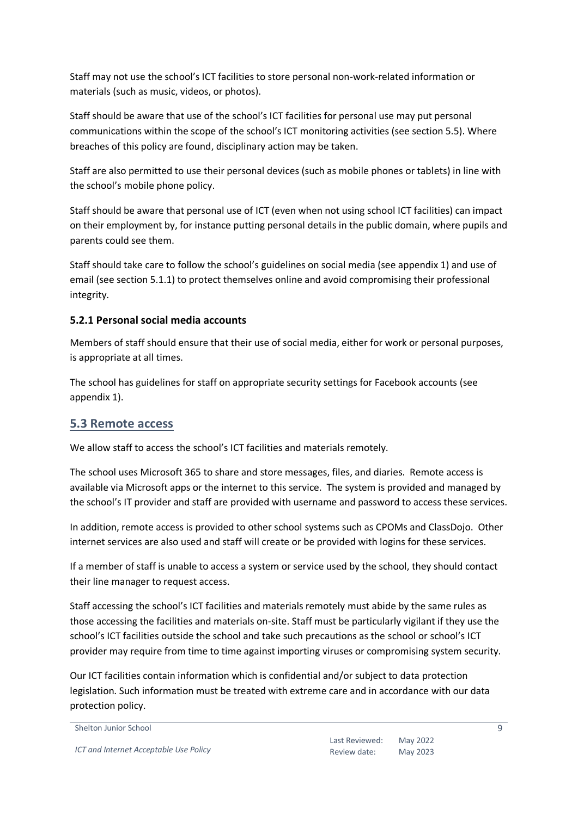Staff may not use the school's ICT facilities to store personal non-work-related information or materials (such as music, videos, or photos).

Staff should be aware that use of the school's ICT facilities for personal use may put personal communications within the scope of the school's ICT monitoring activities (see section 5.5). Where breaches of this policy are found, disciplinary action may be taken.

Staff are also permitted to use their personal devices (such as mobile phones or tablets) in line with the school's mobile phone policy.

Staff should be aware that personal use of ICT (even when not using school ICT facilities) can impact on their employment by, for instance putting personal details in the public domain, where pupils and parents could see them.

Staff should take care to follow the school's guidelines on social media (see appendix 1) and use of email (see section 5.1.1) to protect themselves online and avoid compromising their professional integrity.

#### <span id="page-8-0"></span>**5.2.1 Personal social media accounts**

Members of staff should ensure that their use of social media, either for work or personal purposes, is appropriate at all times.

The school has guidelines for staff on appropriate security settings for Facebook accounts (see appendix 1).

#### <span id="page-8-1"></span>**5.3 Remote access**

We allow staff to access the school's ICT facilities and materials remotely.

The school uses Microsoft 365 to share and store messages, files, and diaries. Remote access is available via Microsoft apps or the internet to this service. The system is provided and managed by the school's IT provider and staff are provided with username and password to access these services.

In addition, remote access is provided to other school systems such as CPOMs and ClassDojo. Other internet services are also used and staff will create or be provided with logins for these services.

If a member of staff is unable to access a system or service used by the school, they should contact their line manager to request access.

Staff accessing the school's ICT facilities and materials remotely must abide by the same rules as those accessing the facilities and materials on-site. Staff must be particularly vigilant if they use the school's ICT facilities outside the school and take such precautions as the school or school's ICT provider may require from time to time against importing viruses or compromising system security.

Our ICT facilities contain information which is confidential and/or subject to data protection legislation. Such information must be treated with extreme care and in accordance with our data protection policy.

```
Shelton Junior School
```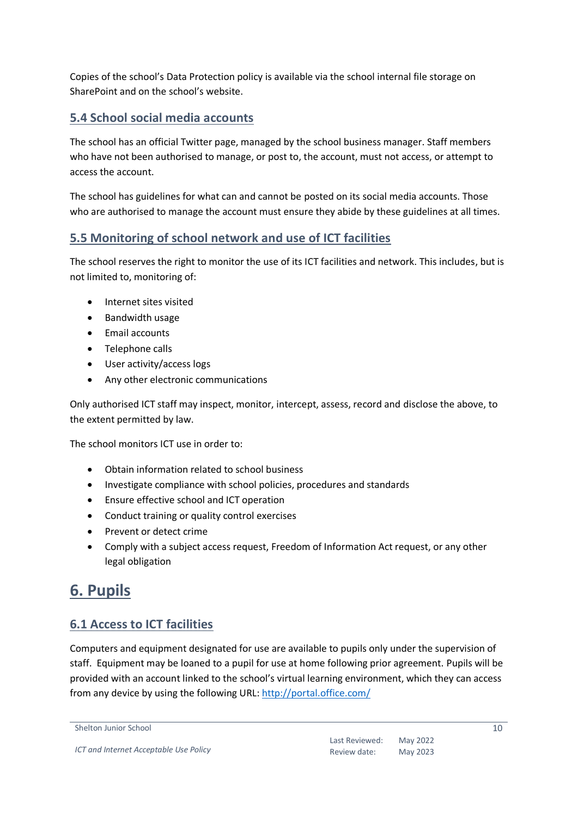Copies of the school's Data Protection policy is available via the school internal file storage on SharePoint and on the school's website.

#### <span id="page-9-0"></span>**5.4 School social media accounts**

The school has an official Twitter page, managed by the school business manager. Staff members who have not been authorised to manage, or post to, the account, must not access, or attempt to access the account.

The school has guidelines for what can and cannot be posted on its social media accounts. Those who are authorised to manage the account must ensure they abide by these guidelines at all times.

#### <span id="page-9-1"></span>**5.5 Monitoring of school network and use of ICT facilities**

The school reserves the right to monitor the use of its ICT facilities and network. This includes, but is not limited to, monitoring of:

- Internet sites visited
- Bandwidth usage
- Email accounts
- Telephone calls
- User activity/access logs
- Any other electronic communications

Only authorised ICT staff may inspect, monitor, intercept, assess, record and disclose the above, to the extent permitted by law.

The school monitors ICT use in order to:

- Obtain information related to school business
- Investigate compliance with school policies, procedures and standards
- Ensure effective school and ICT operation
- Conduct training or quality control exercises
- Prevent or detect crime
- Comply with a subject access request, Freedom of Information Act request, or any other legal obligation

## <span id="page-9-2"></span>**6. Pupils**

#### <span id="page-9-3"></span>**6.1 Access to ICT facilities**

Computers and equipment designated for use are available to pupils only under the supervision of staff. Equipment may be loaned to a pupil for use at home following prior agreement. Pupils will be provided with an account linked to the school's virtual learning environment, which they can access from any device by using the following URL: <http://portal.office.com/>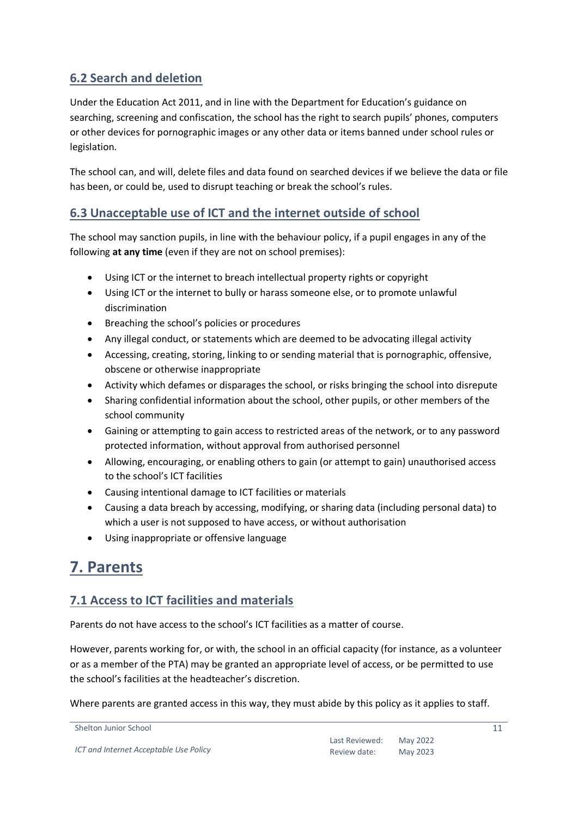#### <span id="page-10-0"></span>**6.2 Search and deletion**

Under the Education Act 2011, and in line with the Department for Education's guidance on searching, screening and confiscation, the school has the right to search pupils' phones, computers or other devices for pornographic images or any other data or items banned under school rules or legislation.

The school can, and will, delete files and data found on searched devices if we believe the data or file has been, or could be, used to disrupt teaching or break the school's rules.

#### <span id="page-10-1"></span>**6.3 Unacceptable use of ICT and the internet outside of school**

The school may sanction pupils, in line with the behaviour policy, if a pupil engages in any of the following **at any time** (even if they are not on school premises):

- Using ICT or the internet to breach intellectual property rights or copyright
- Using ICT or the internet to bully or harass someone else, or to promote unlawful discrimination
- Breaching the school's policies or procedures
- Any illegal conduct, or statements which are deemed to be advocating illegal activity
- Accessing, creating, storing, linking to or sending material that is pornographic, offensive, obscene or otherwise inappropriate
- Activity which defames or disparages the school, or risks bringing the school into disrepute
- Sharing confidential information about the school, other pupils, or other members of the school community
- Gaining or attempting to gain access to restricted areas of the network, or to any password protected information, without approval from authorised personnel
- Allowing, encouraging, or enabling others to gain (or attempt to gain) unauthorised access to the school's ICT facilities
- Causing intentional damage to ICT facilities or materials
- Causing a data breach by accessing, modifying, or sharing data (including personal data) to which a user is not supposed to have access, or without authorisation
- Using inappropriate or offensive language

## <span id="page-10-2"></span>**7. Parents**

#### <span id="page-10-3"></span>**7.1 Access to ICT facilities and materials**

Parents do not have access to the school's ICT facilities as a matter of course.

However, parents working for, or with, the school in an official capacity (for instance, as a volunteer or as a member of the PTA) may be granted an appropriate level of access, or be permitted to use the school's facilities at the headteacher's discretion.

Where parents are granted access in this way, they must abide by this policy as it applies to staff.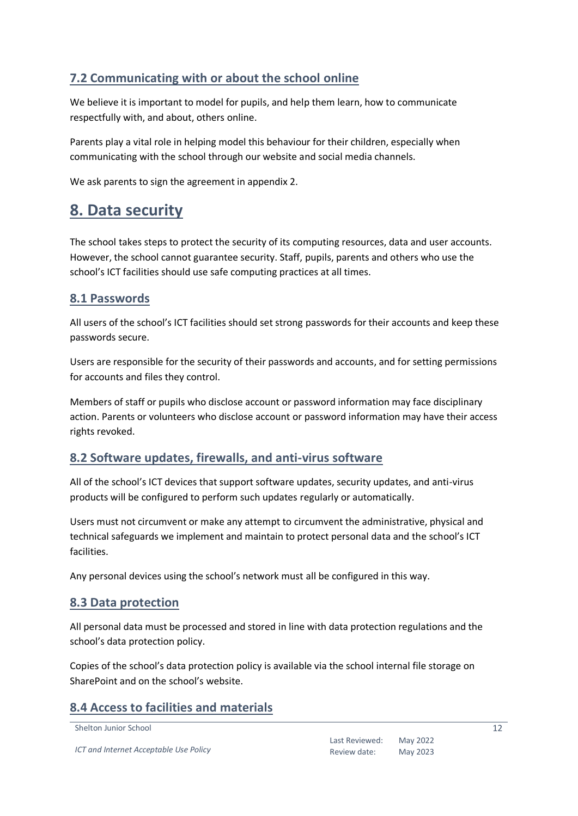#### <span id="page-11-0"></span>**7.2 Communicating with or about the school online**

We believe it is important to model for pupils, and help them learn, how to communicate respectfully with, and about, others online.

Parents play a vital role in helping model this behaviour for their children, especially when communicating with the school through our website and social media channels.

We ask parents to sign the agreement in appendix 2.

### <span id="page-11-1"></span>**8. Data security**

The school takes steps to protect the security of its computing resources, data and user accounts. However, the school cannot guarantee security. Staff, pupils, parents and others who use the school's ICT facilities should use safe computing practices at all times.

#### <span id="page-11-2"></span>**8.1 Passwords**

All users of the school's ICT facilities should set strong passwords for their accounts and keep these passwords secure.

Users are responsible for the security of their passwords and accounts, and for setting permissions for accounts and files they control.

Members of staff or pupils who disclose account or password information may face disciplinary action. Parents or volunteers who disclose account or password information may have their access rights revoked.

#### <span id="page-11-3"></span>**8.2 Software updates, firewalls, and anti-virus software**

All of the school's ICT devices that support software updates, security updates, and anti-virus products will be configured to perform such updates regularly or automatically.

Users must not circumvent or make any attempt to circumvent the administrative, physical and technical safeguards we implement and maintain to protect personal data and the school's ICT facilities.

Any personal devices using the school's network must all be configured in this way.

#### <span id="page-11-4"></span>**8.3 Data protection**

All personal data must be processed and stored in line with data protection regulations and the school's data protection policy.

Copies of the school's data protection policy is available via the school internal file storage on SharePoint and on the school's website.

#### <span id="page-11-5"></span>**8.4 Access to facilities and materials**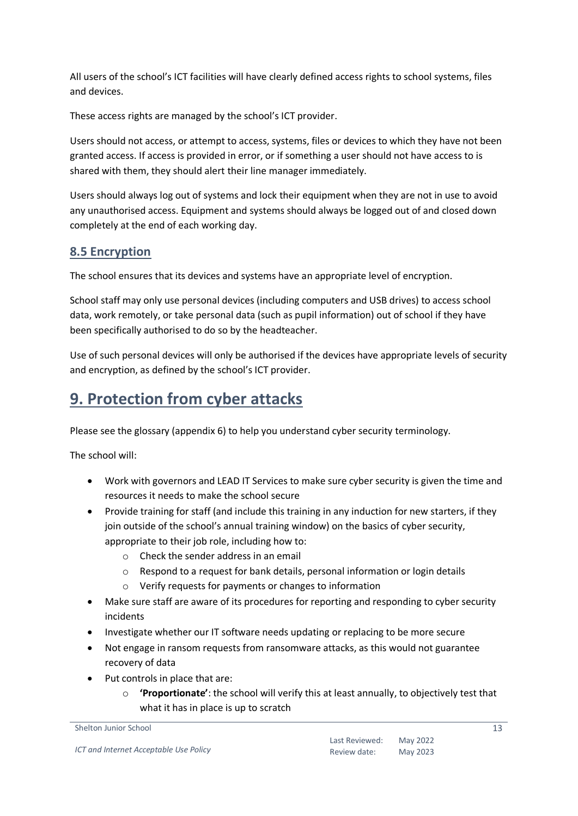All users of the school's ICT facilities will have clearly defined access rights to school systems, files and devices.

These access rights are managed by the school's ICT provider.

Users should not access, or attempt to access, systems, files or devices to which they have not been granted access. If access is provided in error, or if something a user should not have access to is shared with them, they should alert their line manager immediately.

Users should always log out of systems and lock their equipment when they are not in use to avoid any unauthorised access. Equipment and systems should always be logged out of and closed down completely at the end of each working day.

#### <span id="page-12-0"></span>**8.5 Encryption**

The school ensures that its devices and systems have an appropriate level of encryption.

School staff may only use personal devices (including computers and USB drives) to access school data, work remotely, or take personal data (such as pupil information) out of school if they have been specifically authorised to do so by the headteacher.

Use of such personal devices will only be authorised if the devices have appropriate levels of security and encryption, as defined by the school's ICT provider.

## <span id="page-12-1"></span>**9. Protection from cyber attacks**

Please see the glossary (appendix 6) to help you understand cyber security terminology.

The school will:

- Work with governors and LEAD IT Services to make sure cyber security is given the time and resources it needs to make the school secure
- Provide training for staff (and include this training in any induction for new starters, if they join outside of the school's annual training window) on the basics of cyber security, appropriate to their job role, including how to:
	- o Check the sender address in an email
	- o Respond to a request for bank details, personal information or login details
	- o Verify requests for payments or changes to information
- Make sure staff are aware of its procedures for reporting and responding to cyber security incidents
- Investigate whether our IT software needs updating or replacing to be more secure
- Not engage in ransom requests from ransomware attacks, as this would not guarantee recovery of data
- Put controls in place that are:
	- o **'Proportionate'**: the school will verify this at least annually, to objectively test that what it has in place is up to scratch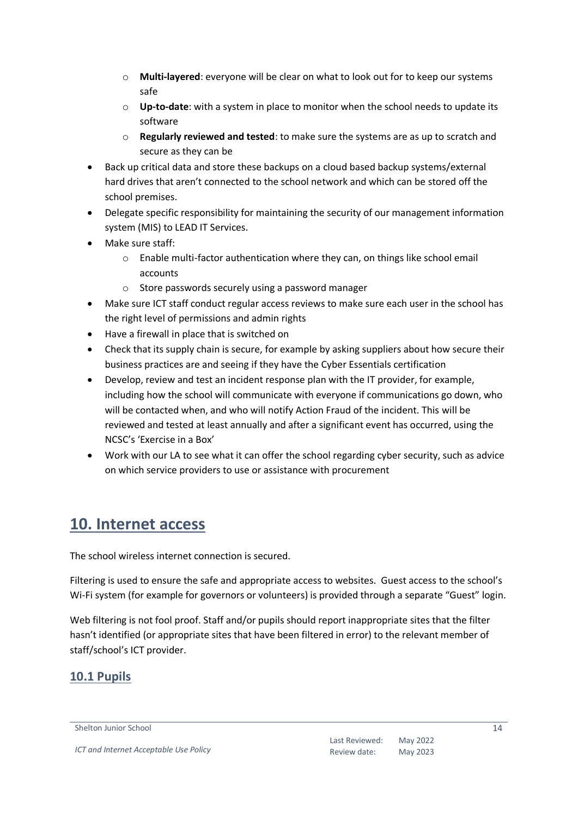- o **Multi-layered**: everyone will be clear on what to look out for to keep our systems safe
- o **Up-to-date**: with a system in place to monitor when the school needs to update its software
- o **Regularly reviewed and tested**: to make sure the systems are as up to scratch and secure as they can be
- Back up critical data and store these backups on a cloud based backup systems/external hard drives that aren't connected to the school network and which can be stored off the school premises.
- Delegate specific responsibility for maintaining the security of our management information system (MIS) to LEAD IT Services.
- Make sure staff:
	- o Enable multi-factor authentication where they can, on things like school email accounts
	- o Store passwords securely using a password manager
- Make sure ICT staff conduct regular access reviews to make sure each user in the school has the right level of permissions and admin rights
- Have a firewall in place that is switched on
- Check that its supply chain is secure, for example by asking suppliers about how secure their business practices are and seeing if they have the Cyber Essentials certification
- Develop, review and test an incident response plan with the IT provider, for example, including how the school will communicate with everyone if communications go down, who will be contacted when, and who will notify Action Fraud of the incident. This will be reviewed and tested at least annually and after a significant event has occurred, using the NCSC's 'Exercise in a Box'
- Work with our LA to see what it can offer the school regarding cyber security, such as advice on which service providers to use or assistance with procurement

## <span id="page-13-0"></span>**10. Internet access**

The school wireless internet connection is secured.

Filtering is used to ensure the safe and appropriate access to websites. Guest access to the school's Wi-Fi system (for example for governors or volunteers) is provided through a separate "Guest" login.

Web filtering is not fool proof. Staff and/or pupils should report inappropriate sites that the filter hasn't identified (or appropriate sites that have been filtered in error) to the relevant member of staff/school's ICT provider.

#### <span id="page-13-1"></span>**10.1 Pupils**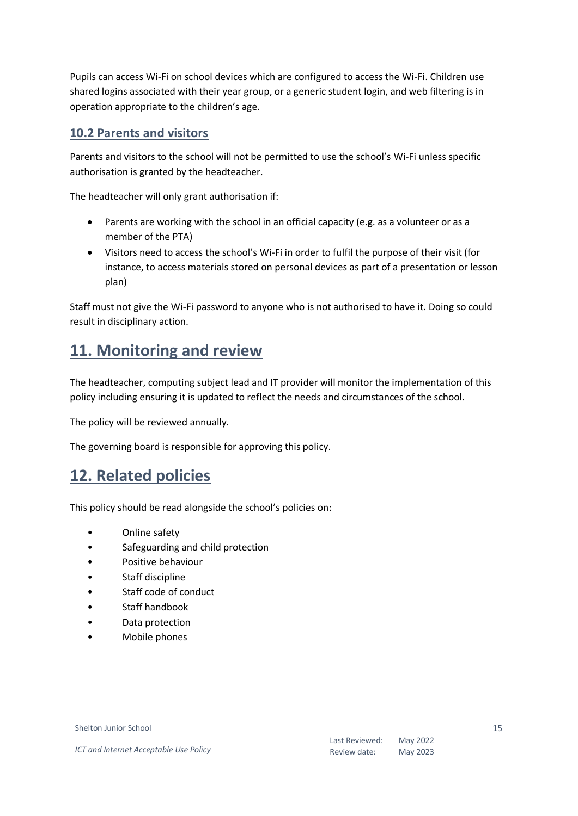Pupils can access Wi-Fi on school devices which are configured to access the Wi-Fi. Children use shared logins associated with their year group, or a generic student login, and web filtering is in operation appropriate to the children's age.

#### <span id="page-14-0"></span>**10.2 Parents and visitors**

Parents and visitors to the school will not be permitted to use the school's Wi-Fi unless specific authorisation is granted by the headteacher.

The headteacher will only grant authorisation if:

- Parents are working with the school in an official capacity (e.g. as a volunteer or as a member of the PTA)
- Visitors need to access the school's Wi-Fi in order to fulfil the purpose of their visit (for instance, to access materials stored on personal devices as part of a presentation or lesson plan)

Staff must not give the Wi-Fi password to anyone who is not authorised to have it. Doing so could result in disciplinary action.

## <span id="page-14-1"></span>**11. Monitoring and review**

The headteacher, computing subject lead and IT provider will monitor the implementation of this policy including ensuring it is updated to reflect the needs and circumstances of the school.

The policy will be reviewed annually.

The governing board is responsible for approving this policy.

## <span id="page-14-2"></span>**12. Related policies**

This policy should be read alongside the school's policies on:

- Online safety
- Safeguarding and child protection
- Positive behaviour
- Staff discipline
- Staff code of conduct
- Staff handbook
- Data protection
- Mobile phones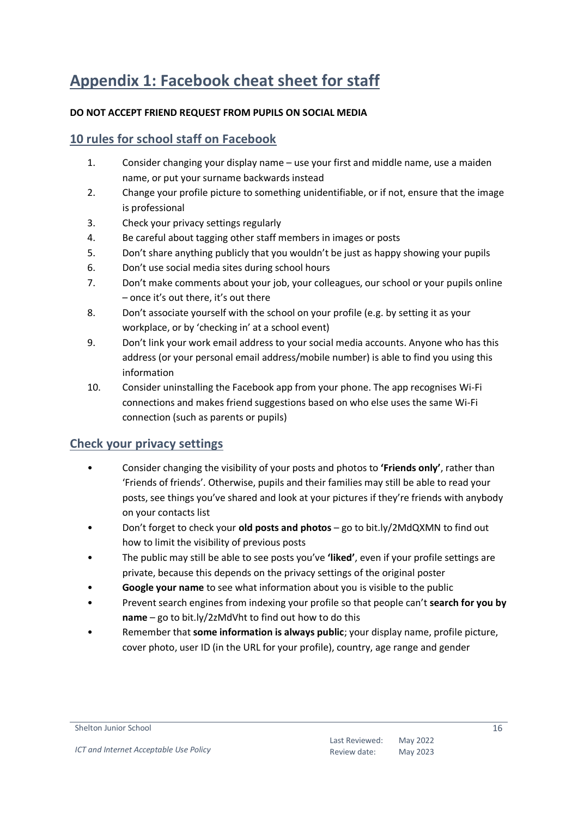## <span id="page-15-0"></span>**Appendix 1: Facebook cheat sheet for staff**

#### **DO NOT ACCEPT FRIEND REQUEST FROM PUPILS ON SOCIAL MEDIA**

#### <span id="page-15-1"></span>**10 rules for school staff on Facebook**

- 1. Consider changing your display name use your first and middle name, use a maiden name, or put your surname backwards instead
- 2. Change your profile picture to something unidentifiable, or if not, ensure that the image is professional
- 3. Check your privacy settings regularly
- 4. Be careful about tagging other staff members in images or posts
- 5. Don't share anything publicly that you wouldn't be just as happy showing your pupils
- 6. Don't use social media sites during school hours
- 7. Don't make comments about your job, your colleagues, our school or your pupils online – once it's out there, it's out there
- 8. Don't associate yourself with the school on your profile (e.g. by setting it as your workplace, or by 'checking in' at a school event)
- 9. Don't link your work email address to your social media accounts. Anyone who has this address (or your personal email address/mobile number) is able to find you using this information
- 10. Consider uninstalling the Facebook app from your phone. The app recognises Wi-Fi connections and makes friend suggestions based on who else uses the same Wi-Fi connection (such as parents or pupils)

#### <span id="page-15-2"></span>**Check your privacy settings**

- Consider changing the visibility of your posts and photos to **'Friends only'**, rather than 'Friends of friends'. Otherwise, pupils and their families may still be able to read your posts, see things you've shared and look at your pictures if they're friends with anybody on your contacts list
- Don't forget to check your **old posts and photos** go to bit.ly/2MdQXMN to find out how to limit the visibility of previous posts
- The public may still be able to see posts you've **'liked'**, even if your profile settings are private, because this depends on the privacy settings of the original poster
- **Google your name** to see what information about you is visible to the public
- Prevent search engines from indexing your profile so that people can't **search for you by name** – go to bit.ly/2zMdVht to find out how to do this
- Remember that **some information is always public**; your display name, profile picture, cover photo, user ID (in the URL for your profile), country, age range and gender

Shelton Junior School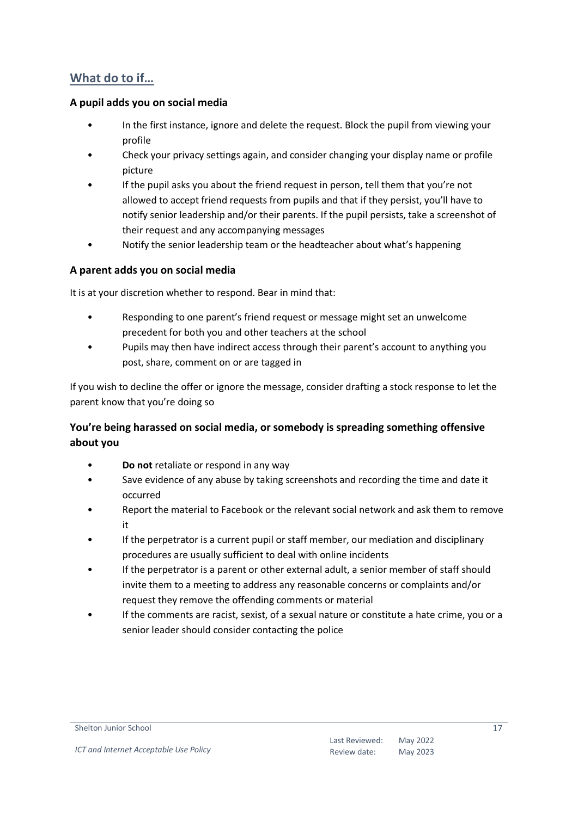#### <span id="page-16-0"></span>**What do to if…**

#### <span id="page-16-1"></span>**A pupil adds you on social media**

- In the first instance, ignore and delete the request. Block the pupil from viewing your profile
- Check your privacy settings again, and consider changing your display name or profile picture
- If the pupil asks you about the friend request in person, tell them that you're not allowed to accept friend requests from pupils and that if they persist, you'll have to notify senior leadership and/or their parents. If the pupil persists, take a screenshot of their request and any accompanying messages
- Notify the senior leadership team or the headteacher about what's happening

#### <span id="page-16-2"></span>**A parent adds you on social media**

It is at your discretion whether to respond. Bear in mind that:

- Responding to one parent's friend request or message might set an unwelcome precedent for both you and other teachers at the school
- Pupils may then have indirect access through their parent's account to anything you post, share, comment on or are tagged in

If you wish to decline the offer or ignore the message, consider drafting a stock response to let the parent know that you're doing so

#### <span id="page-16-3"></span>**You're being harassed on social media, or somebody is spreading something offensive about you**

- **Do not** retaliate or respond in any way
- Save evidence of any abuse by taking screenshots and recording the time and date it occurred
- Report the material to Facebook or the relevant social network and ask them to remove it
- If the perpetrator is a current pupil or staff member, our mediation and disciplinary procedures are usually sufficient to deal with online incidents
- If the perpetrator is a parent or other external adult, a senior member of staff should invite them to a meeting to address any reasonable concerns or complaints and/or request they remove the offending comments or material
- If the comments are racist, sexist, of a sexual nature or constitute a hate crime, you or a senior leader should consider contacting the police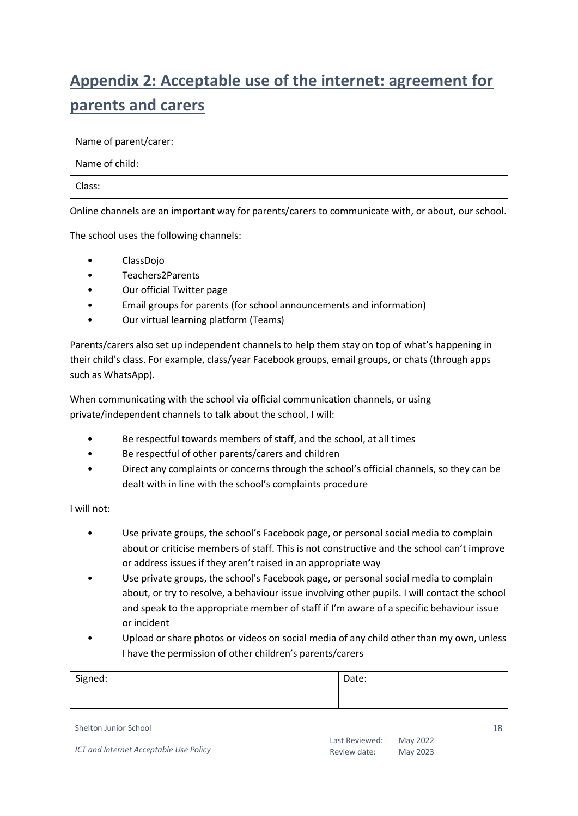## <span id="page-17-0"></span>**Appendix 2: Acceptable use of the internet: agreement for parents and carers**

| Name of parent/carer: |  |
|-----------------------|--|
| Name of child:        |  |
| Class:                |  |

Online channels are an important way for parents/carers to communicate with, or about, our school.

The school uses the following channels:

- ClassDojo
- Teachers2Parents
- Our official Twitter page
- Email groups for parents (for school announcements and information)
- Our virtual learning platform (Teams)

Parents/carers also set up independent channels to help them stay on top of what's happening in their child's class. For example, class/year Facebook groups, email groups, or chats (through apps such as WhatsApp).

When communicating with the school via official communication channels, or using private/independent channels to talk about the school, I will:

- Be respectful towards members of staff, and the school, at all times
- Be respectful of other parents/carers and children
- Direct any complaints or concerns through the school's official channels, so they can be dealt with in line with the school's complaints procedure

I will not:

- Use private groups, the school's Facebook page, or personal social media to complain about or criticise members of staff. This is not constructive and the school can't improve or address issues if they aren't raised in an appropriate way
- Use private groups, the school's Facebook page, or personal social media to complain about, or try to resolve, a behaviour issue involving other pupils. I will contact the school and speak to the appropriate member of staff if I'm aware of a specific behaviour issue or incident
- Upload or share photos or videos on social media of any child other than my own, unless I have the permission of other children's parents/carers

| Signed: | Date: |
|---------|-------|
|         |       |
|         |       |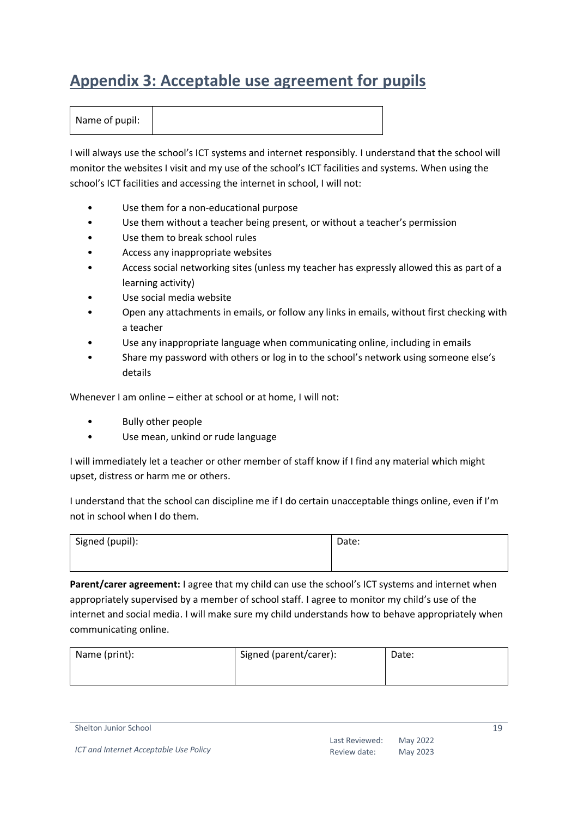## <span id="page-18-0"></span>**Appendix 3: Acceptable use agreement for pupils**

| Name of pupil: |
|----------------|
|----------------|

I will always use the school's ICT systems and internet responsibly. I understand that the school will monitor the websites I visit and my use of the school's ICT facilities and systems. When using the school's ICT facilities and accessing the internet in school, I will not:

- Use them for a non-educational purpose
- Use them without a teacher being present, or without a teacher's permission
- Use them to break school rules
- Access any inappropriate websites
- Access social networking sites (unless my teacher has expressly allowed this as part of a learning activity)
- Use social media website
- Open any attachments in emails, or follow any links in emails, without first checking with a teacher
- Use any inappropriate language when communicating online, including in emails
- Share my password with others or log in to the school's network using someone else's details

Whenever I am online – either at school or at home, I will not:

- Bully other people
- Use mean, unkind or rude language

I will immediately let a teacher or other member of staff know if I find any material which might upset, distress or harm me or others.

I understand that the school can discipline me if I do certain unacceptable things online, even if I'm not in school when I do them.

| Signed (pupil): | Date: |
|-----------------|-------|
|                 |       |

**Parent/carer agreement:** I agree that my child can use the school's ICT systems and internet when appropriately supervised by a member of school staff. I agree to monitor my child's use of the internet and social media. I will make sure my child understands how to behave appropriately when communicating online.

| Name (print): | Signed (parent/carer): | Date: |
|---------------|------------------------|-------|
|               |                        |       |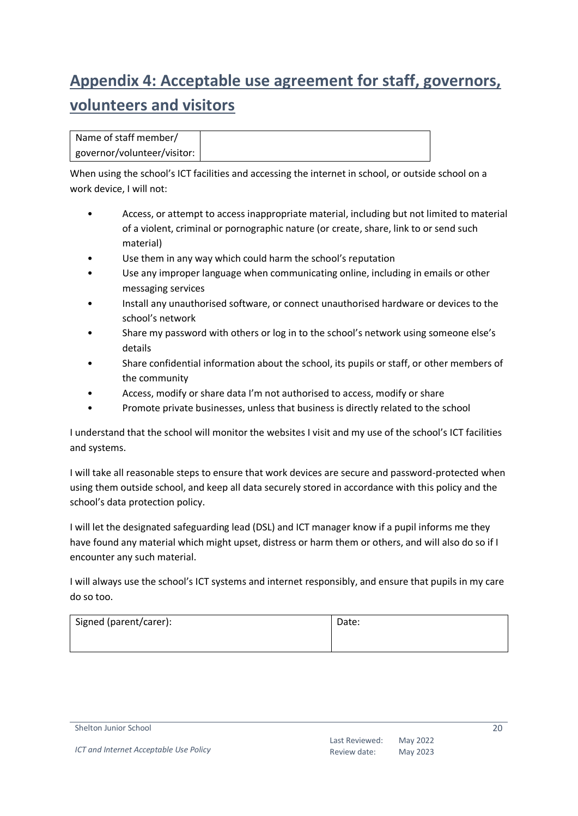## <span id="page-19-0"></span>**Appendix 4: Acceptable use agreement for staff, governors, volunteers and visitors**

When using the school's ICT facilities and accessing the internet in school, or outside school on a work device, I will not:

- Access, or attempt to access inappropriate material, including but not limited to material of a violent, criminal or pornographic nature (or create, share, link to or send such material)
- Use them in any way which could harm the school's reputation
- Use any improper language when communicating online, including in emails or other messaging services
- Install any unauthorised software, or connect unauthorised hardware or devices to the school's network
- Share my password with others or log in to the school's network using someone else's details
- Share confidential information about the school, its pupils or staff, or other members of the community
- Access, modify or share data I'm not authorised to access, modify or share
- Promote private businesses, unless that business is directly related to the school

I understand that the school will monitor the websites I visit and my use of the school's ICT facilities and systems.

I will take all reasonable steps to ensure that work devices are secure and password-protected when using them outside school, and keep all data securely stored in accordance with this policy and the school's data protection policy.

I will let the designated safeguarding lead (DSL) and ICT manager know if a pupil informs me they have found any material which might upset, distress or harm them or others, and will also do so if I encounter any such material.

I will always use the school's ICT systems and internet responsibly, and ensure that pupils in my care do so too.

| Signed (parent/carer): | Date: |
|------------------------|-------|
|                        |       |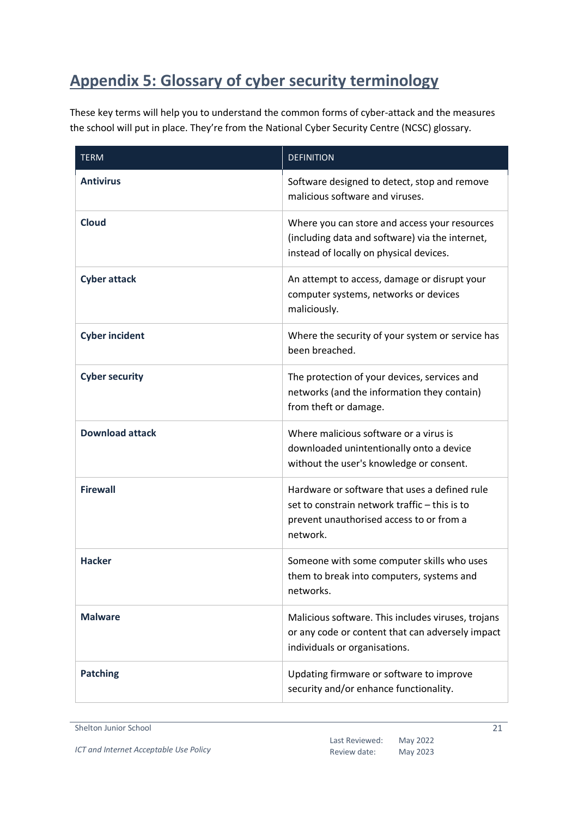## <span id="page-20-0"></span>**Appendix 5: Glossary of cyber security terminology**

These key terms will help you to understand the common forms of cyber-attack and the measures the school will put in place. They're from the National Cyber Security Centre (NCSC) glossary.

| <b>TERM</b>            | <b>DEFINITION</b>                                                                                                                                      |
|------------------------|--------------------------------------------------------------------------------------------------------------------------------------------------------|
| <b>Antivirus</b>       | Software designed to detect, stop and remove<br>malicious software and viruses.                                                                        |
| <b>Cloud</b>           | Where you can store and access your resources<br>(including data and software) via the internet,<br>instead of locally on physical devices.            |
| <b>Cyber attack</b>    | An attempt to access, damage or disrupt your<br>computer systems, networks or devices<br>maliciously.                                                  |
| <b>Cyber incident</b>  | Where the security of your system or service has<br>been breached.                                                                                     |
| <b>Cyber security</b>  | The protection of your devices, services and<br>networks (and the information they contain)<br>from theft or damage.                                   |
| <b>Download attack</b> | Where malicious software or a virus is<br>downloaded unintentionally onto a device<br>without the user's knowledge or consent.                         |
| <b>Firewall</b>        | Hardware or software that uses a defined rule<br>set to constrain network traffic - this is to<br>prevent unauthorised access to or from a<br>network. |
| <b>Hacker</b>          | Someone with some computer skills who uses<br>them to break into computers, systems and<br>networks.                                                   |
| <b>Malware</b>         | Malicious software. This includes viruses, trojans<br>or any code or content that can adversely impact<br>individuals or organisations.                |
| <b>Patching</b>        | Updating firmware or software to improve<br>security and/or enhance functionality.                                                                     |